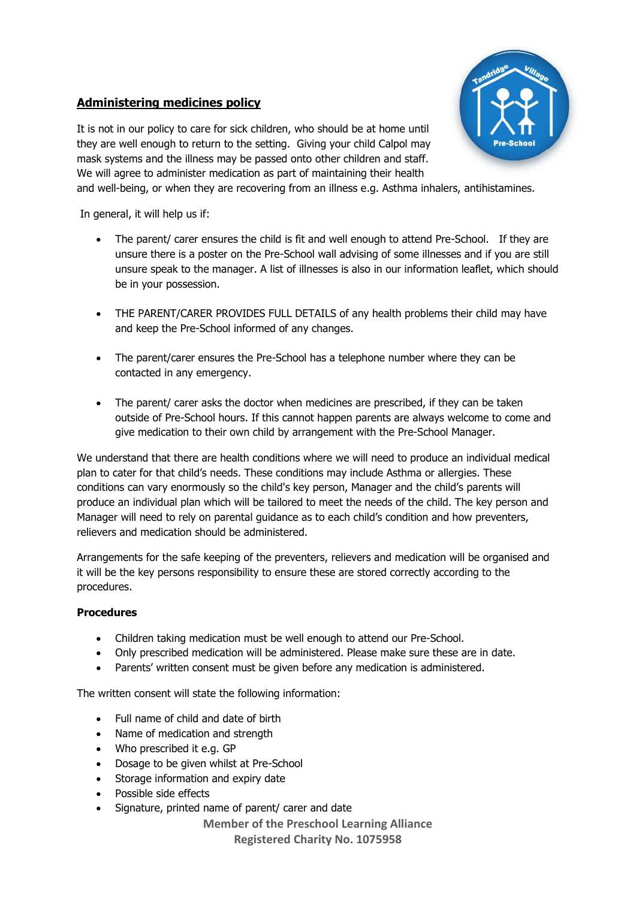## **Administering medicines policy**





and well-being, or when they are recovering from an illness e.g. Asthma inhalers, antihistamines.

In general, it will help us if:

- The parent/ carer ensures the child is fit and well enough to attend Pre-School. If they are unsure there is a poster on the Pre-School wall advising of some illnesses and if you are still unsure speak to the manager. A list of illnesses is also in our information leaflet, which should be in your possession.
- THE PARENT/CARER PROVIDES FULL DETAILS of any health problems their child may have and keep the Pre-School informed of any changes.
- The parent/carer ensures the Pre-School has a telephone number where they can be contacted in any emergency.
- The parent/ carer asks the doctor when medicines are prescribed, if they can be taken outside of Pre-School hours. If this cannot happen parents are always welcome to come and give medication to their own child by arrangement with the Pre-School Manager.

We understand that there are health conditions where we will need to produce an individual medical plan to cater for that child's needs. These conditions may include Asthma or allergies. These conditions can vary enormously so the child's key person, Manager and the child's parents will produce an individual plan which will be tailored to meet the needs of the child. The key person and Manager will need to rely on parental guidance as to each child's condition and how preventers, relievers and medication should be administered.

Arrangements for the safe keeping of the preventers, relievers and medication will be organised and it will be the key persons responsibility to ensure these are stored correctly according to the procedures.

## **Procedures**

- Children taking medication must be well enough to attend our Pre-School.
- Only prescribed medication will be administered. Please make sure these are in date.
- Parents' written consent must be given before any medication is administered.

The written consent will state the following information:

- Full name of child and date of birth
- Name of medication and strength
- Who prescribed it e.g. GP
- Dosage to be given whilst at Pre-School
- Storage information and expiry date
- Possible side effects
- Signature, printed name of parent/ carer and date

**Member of the Preschool Learning Alliance Registered Charity No. 1075958**